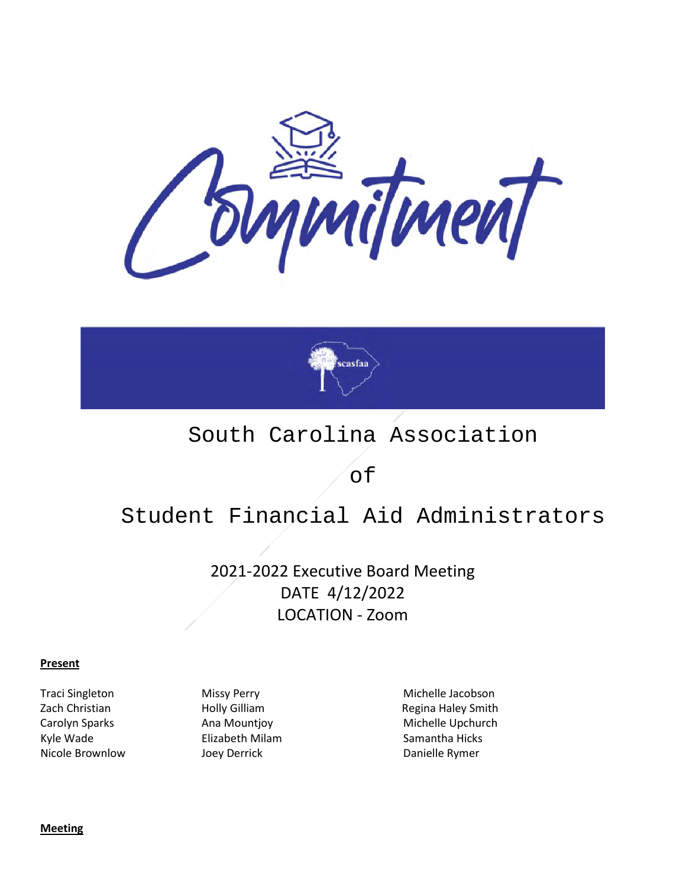



## South Carolina Association

of

# Student Financial Aid Administrators

2021-2022 Executive Board Meeting DATE 4/12/2022 LOCATION - Zoom

#### **Present**

Kyle Wade **Elizabeth Milam** Samantha Hicks **Samantha Hicks** Nicole Brownlow Joey Derrick Danielle Rymer

Traci Singleton Missy Perry Michelle Jacobson Zach Christian **Holly Gilliam** Holly Gilliam Regina Haley Smith Carolyn Sparks **Ana Mountjoy** Michelle Upchurch

**Meeting**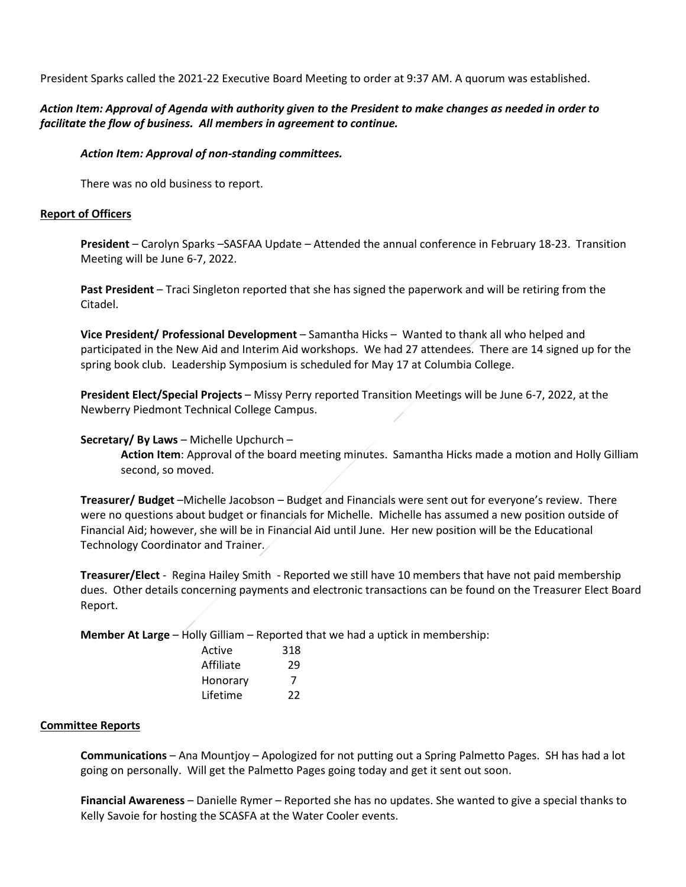President Sparks called the 2021-22 Executive Board Meeting to order at 9:37 AM. A quorum was established.

### *Action Item: Approval of Agenda with authority given to the President to make changes as needed in order to facilitate the flow of business. All members in agreement to continue.*

### *Action Item: Approval of non-standing committees.*

There was no old business to report.

### **Report of Officers**

**President** – Carolyn Sparks –SASFAA Update – Attended the annual conference in February 18-23. Transition Meeting will be June 6-7, 2022.

**Past President** – Traci Singleton reported that she has signed the paperwork and will be retiring from the Citadel.

**Vice President/ Professional Development** – Samantha Hicks – Wanted to thank all who helped and participated in the New Aid and Interim Aid workshops. We had 27 attendees. There are 14 signed up for the spring book club. Leadership Symposium is scheduled for May 17 at Columbia College.

**President Elect/Special Projects** – Missy Perry reported Transition Meetings will be June 6-7, 2022, at the Newberry Piedmont Technical College Campus.

### **Secretary/ By Laws** – Michelle Upchurch –

**Action Item**: Approval of the board meeting minutes. Samantha Hicks made a motion and Holly Gilliam second, so moved.

**Treasurer/ Budget** –Michelle Jacobson – Budget and Financials were sent out for everyone's review. There were no questions about budget or financials for Michelle. Michelle has assumed a new position outside of Financial Aid; however, she will be in Financial Aid until June. Her new position will be the Educational Technology Coordinator and Trainer.

**Treasurer/Elect** - Regina Hailey Smith - Reported we still have 10 members that have not paid membership dues. Other details concerning payments and electronic transactions can be found on the Treasurer Elect Board Report.

**Member At Large** – Holly Gilliam – Reported that we had a uptick in membership:

| Active | 318       |    |
|--------|-----------|----|
|        | Affiliate | 29 |
|        | Honorary  |    |
|        | Lifetime  | 22 |
|        |           |    |

#### **Committee Reports**

**Communications** – Ana Mountjoy – Apologized for not putting out a Spring Palmetto Pages. SH has had a lot going on personally. Will get the Palmetto Pages going today and get it sent out soon.

**Financial Awareness** – Danielle Rymer – Reported she has no updates. She wanted to give a special thanks to Kelly Savoie for hosting the SCASFA at the Water Cooler events.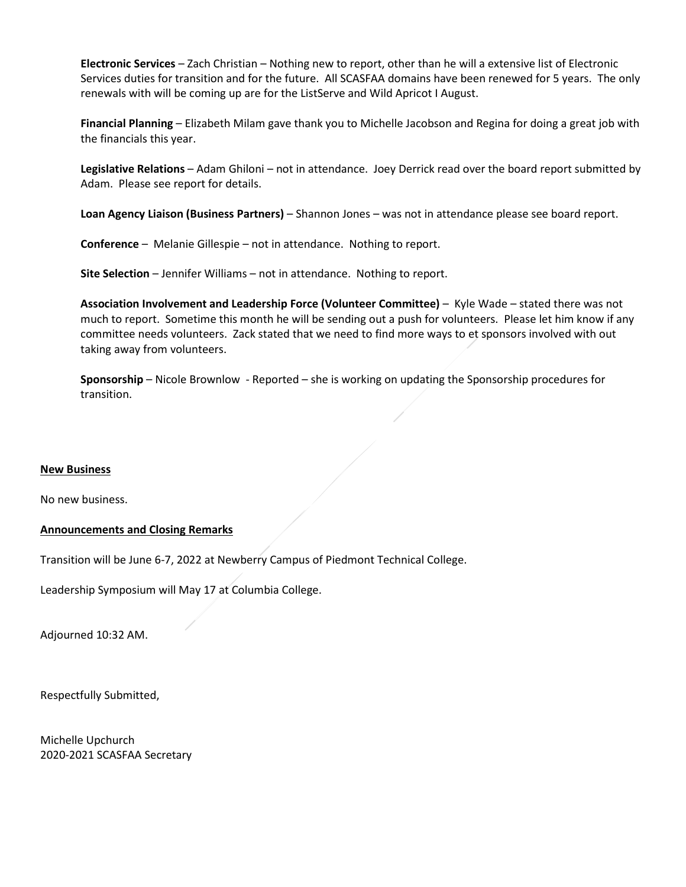**Electronic Services** – Zach Christian – Nothing new to report, other than he will a extensive list of Electronic Services duties for transition and for the future. All SCASFAA domains have been renewed for 5 years. The only renewals with will be coming up are for the ListServe and Wild Apricot I August.

**Financial Planning** – Elizabeth Milam gave thank you to Michelle Jacobson and Regina for doing a great job with the financials this year.

**Legislative Relations** – Adam Ghiloni – not in attendance. Joey Derrick read over the board report submitted by Adam. Please see report for details.

**Loan Agency Liaison (Business Partners)** – Shannon Jones – was not in attendance please see board report.

**Conference** – Melanie Gillespie – not in attendance. Nothing to report.

**Site Selection** – Jennifer Williams – not in attendance. Nothing to report.

**Association Involvement and Leadership Force (Volunteer Committee)** – Kyle Wade – stated there was not much to report. Sometime this month he will be sending out a push for volunteers. Please let him know if any committee needs volunteers. Zack stated that we need to find more ways to et sponsors involved with out taking away from volunteers.

**Sponsorship** – Nicole Brownlow - Reported – she is working on updating the Sponsorship procedures for transition.

#### **New Business**

No new business.

#### **Announcements and Closing Remarks**

Transition will be June 6-7, 2022 at Newberry Campus of Piedmont Technical College.

Leadership Symposium will May 17 at Columbia College.

Adjourned 10:32 AM.

Respectfully Submitted,

Michelle Upchurch 2020-2021 SCASFAA Secretary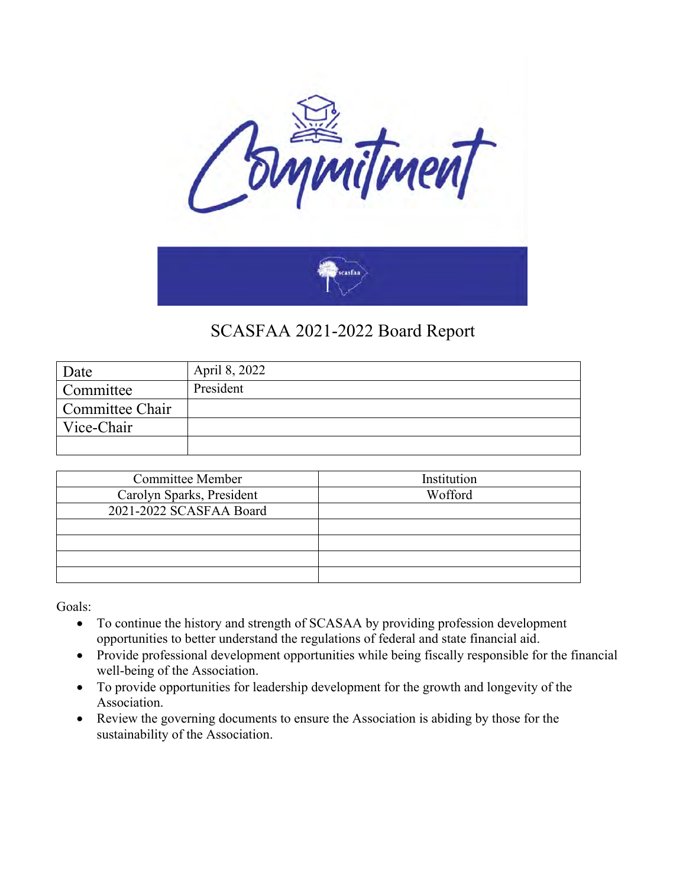

| Date            | April 8, 2022 |
|-----------------|---------------|
| Committee       | President     |
| Committee Chair |               |
| Vice-Chair      |               |
|                 |               |

| <b>Committee Member</b>   | Institution |
|---------------------------|-------------|
| Carolyn Sparks, President | Wofford     |
| 2021-2022 SCASFAA Board   |             |
|                           |             |
|                           |             |
|                           |             |
|                           |             |

Goals:

- To continue the history and strength of SCASAA by providing profession development opportunities to better understand the regulations of federal and state financial aid.
- Provide professional development opportunities while being fiscally responsible for the financial well-being of the Association.
- To provide opportunities for leadership development for the growth and longevity of the Association.
- Review the governing documents to ensure the Association is abiding by those for the sustainability of the Association.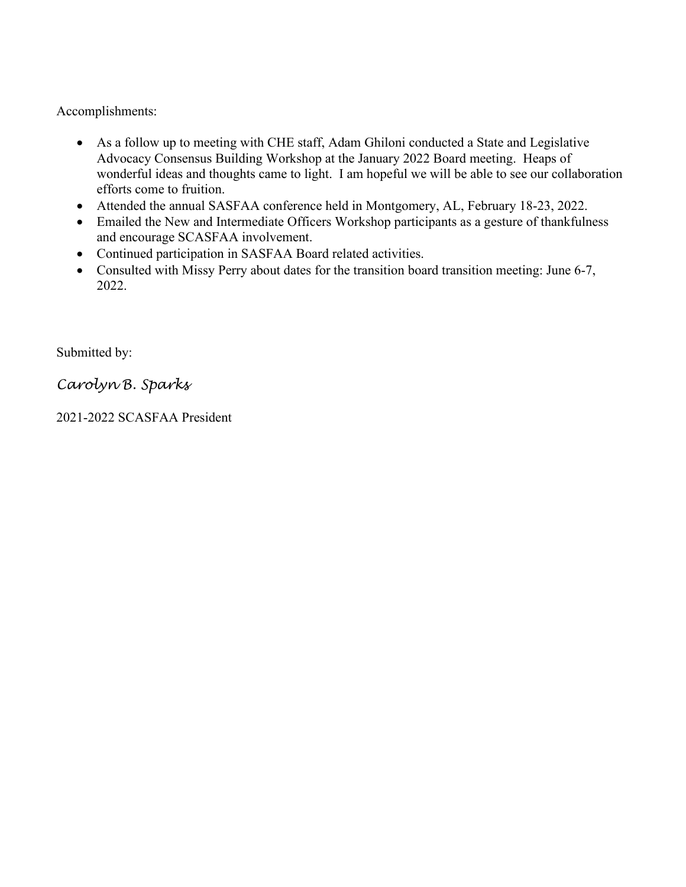Accomplishments:

- As a follow up to meeting with CHE staff, Adam Ghiloni conducted a State and Legislative Advocacy Consensus Building Workshop at the January 2022 Board meeting. Heaps of wonderful ideas and thoughts came to light. I am hopeful we will be able to see our collaboration efforts come to fruition.
- Attended the annual SASFAA conference held in Montgomery, AL, February 18-23, 2022.
- Emailed the New and Intermediate Officers Workshop participants as a gesture of thankfulness and encourage SCASFAA involvement.
- Continued participation in SASFAA Board related activities.
- Consulted with Missy Perry about dates for the transition board transition meeting: June 6-7, 2022.

Submitted by:

*Carolyn B. Sparks*

2021-2022 SCASFAA President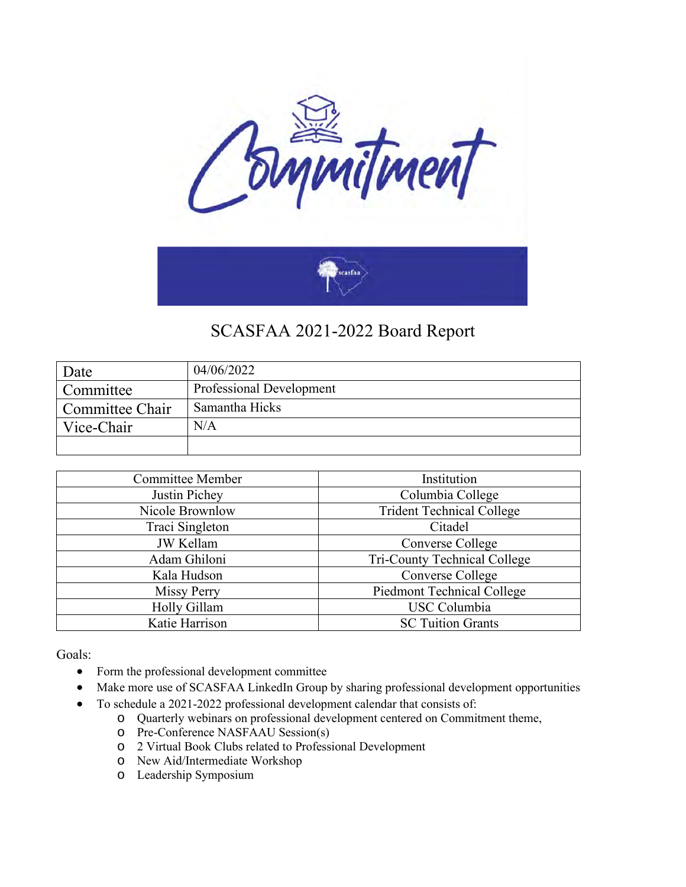

| Date            | 04/06/2022               |
|-----------------|--------------------------|
| Committee       | Professional Development |
| Committee Chair | Samantha Hicks           |
| Vice-Chair      | N/A                      |
|                 |                          |

| <b>Committee Member</b> | Institution                       |
|-------------------------|-----------------------------------|
| Justin Pichey           | Columbia College                  |
| Nicole Brownlow         | <b>Trident Technical College</b>  |
| Traci Singleton         | Citadel                           |
| <b>JW</b> Kellam        | Converse College                  |
| Adam Ghiloni            | Tri-County Technical College      |
| Kala Hudson             | Converse College                  |
| <b>Missy Perry</b>      | <b>Piedmont Technical College</b> |
| Holly Gillam            | <b>USC</b> Columbia               |
| Katie Harrison          | <b>SC Tuition Grants</b>          |

Goals:

- Form the professional development committee
- Make more use of SCASFAA LinkedIn Group by sharing professional development opportunities
- To schedule a 2021-2022 professional development calendar that consists of:
	- o Quarterly webinars on professional development centered on Commitment theme,
	- o Pre-Conference NASFAAU Session(s)
	- o 2 Virtual Book Clubs related to Professional Development
	- o New Aid/Intermediate Workshop
	- o Leadership Symposium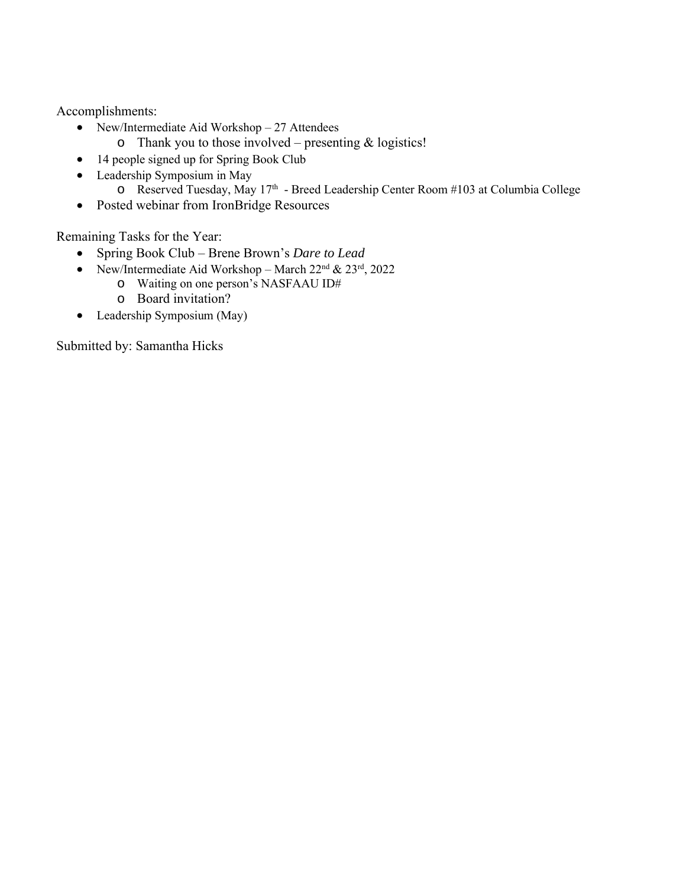Accomplishments:

- New/Intermediate Aid Workshop 27 Attendees
	- $\circ$  Thank you to those involved presenting & logistics!
- 14 people signed up for Spring Book Club
- Leadership Symposium in May o Reserved Tuesday, May 17<sup>th</sup> - Breed Leadership Center Room #103 at Columbia College
- Posted webinar from IronBridge Resources

Remaining Tasks for the Year:

- Spring Book Club Brene Brown's *Dare to Lead*
- New/Intermediate Aid Workshop March  $22<sup>nd</sup>$  &  $23<sup>rd</sup>$ , 2022
	- o Waiting on one person's NASFAAU ID#
		- o Board invitation?
- Leadership Symposium (May)

Submitted by: Samantha Hicks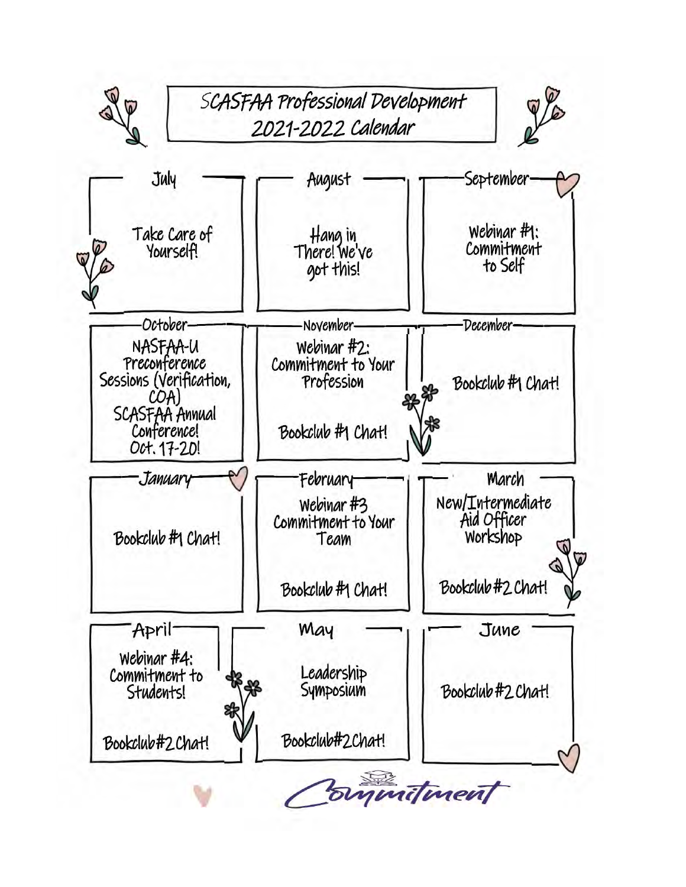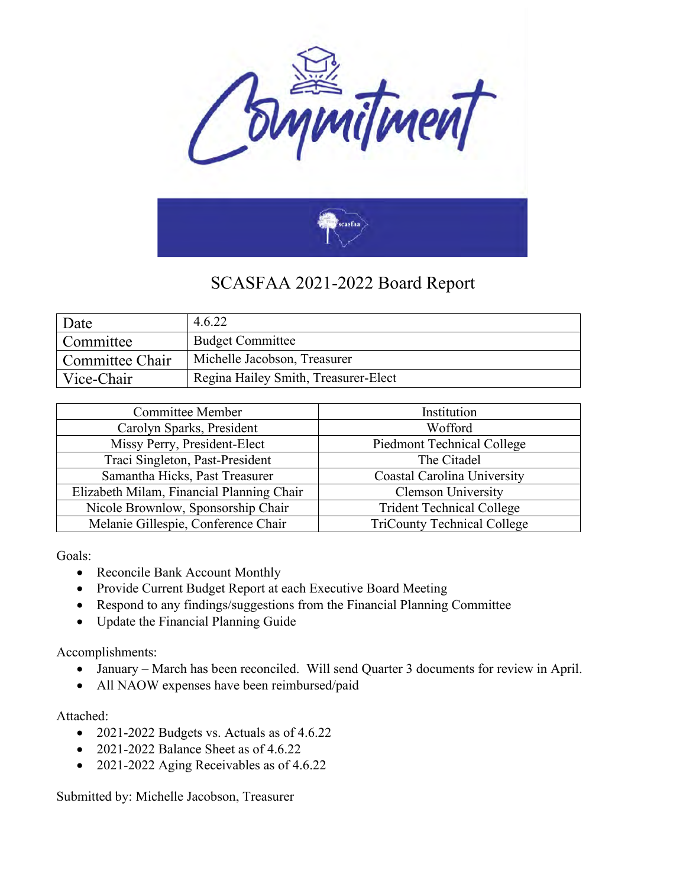

| Date            | 4.6.22                               |
|-----------------|--------------------------------------|
| Committee       | <b>Budget Committee</b>              |
| Committee Chair | Michelle Jacobson, Treasurer         |
| Vice-Chair      | Regina Hailey Smith, Treasurer-Elect |

| <b>Committee Member</b>                   | Institution                        |
|-------------------------------------------|------------------------------------|
| Carolyn Sparks, President                 | Wofford                            |
| Missy Perry, President-Elect              | <b>Piedmont Technical College</b>  |
| Traci Singleton, Past-President           | The Citadel                        |
| Samantha Hicks, Past Treasurer            | Coastal Carolina University        |
| Elizabeth Milam, Financial Planning Chair | <b>Clemson University</b>          |
| Nicole Brownlow, Sponsorship Chair        | <b>Trident Technical College</b>   |
| Melanie Gillespie, Conference Chair       | <b>TriCounty Technical College</b> |

Goals:

- Reconcile Bank Account Monthly
- Provide Current Budget Report at each Executive Board Meeting
- Respond to any findings/suggestions from the Financial Planning Committee
- Update the Financial Planning Guide

Accomplishments:

- January March has been reconciled. Will send Quarter 3 documents for review in April.
- All NAOW expenses have been reimbursed/paid

Attached:

- 2021-2022 Budgets vs. Actuals as of 4.6.22
- 2021-2022 Balance Sheet as of 4.6.22
- 2021-2022 Aging Receivables as of 4.6.22

Submitted by: Michelle Jacobson, Treasurer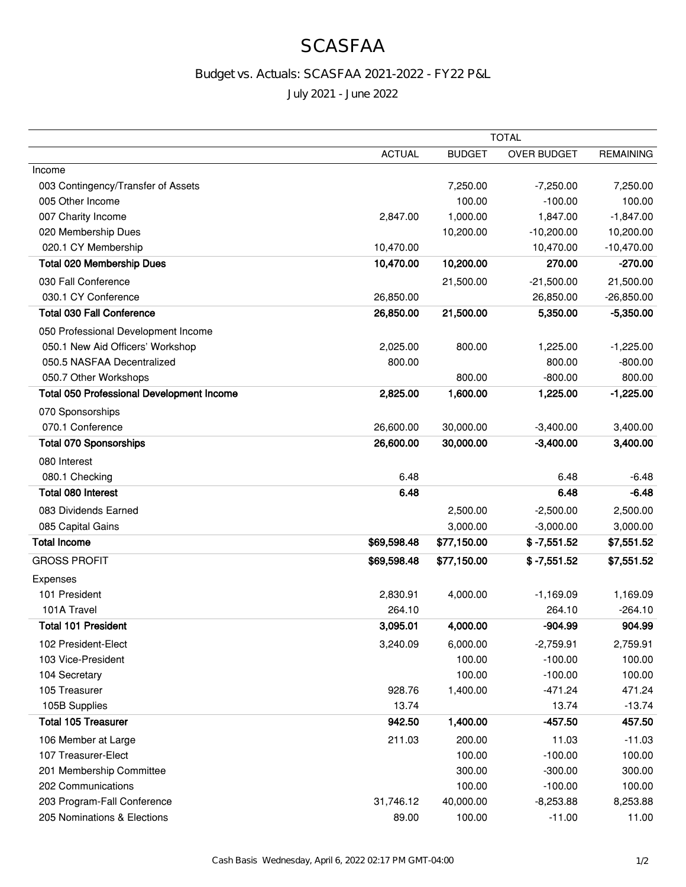## **SCASFAA**

### Budget vs. Actuals: SCASFAA 2021-2022 - FY22 P&L

July 2021 - June 2022

|                                                  | <b>TOTAL</b>  |               |                    |                  |
|--------------------------------------------------|---------------|---------------|--------------------|------------------|
|                                                  | <b>ACTUAL</b> | <b>BUDGET</b> | <b>OVER BUDGET</b> | <b>REMAINING</b> |
| Income                                           |               |               |                    |                  |
| 003 Contingency/Transfer of Assets               |               | 7,250.00      | $-7,250.00$        | 7,250.00         |
| 005 Other Income                                 |               | 100.00        | $-100.00$          | 100.00           |
| 007 Charity Income                               | 2,847.00      | 1,000.00      | 1,847.00           | $-1,847.00$      |
| 020 Membership Dues                              |               | 10,200.00     | $-10,200.00$       | 10,200.00        |
| 020.1 CY Membership                              | 10,470.00     |               | 10,470.00          | $-10,470.00$     |
| <b>Total 020 Membership Dues</b>                 | 10,470.00     | 10,200.00     | 270.00             | $-270.00$        |
| 030 Fall Conference                              |               | 21,500.00     | $-21,500.00$       | 21,500.00        |
| 030.1 CY Conference                              | 26,850.00     |               | 26,850.00          | $-26,850.00$     |
| <b>Total 030 Fall Conference</b>                 | 26,850.00     | 21,500.00     | 5,350.00           | $-5,350.00$      |
| 050 Professional Development Income              |               |               |                    |                  |
| 050.1 New Aid Officers' Workshop                 | 2,025.00      | 800.00        | 1,225.00           | $-1,225.00$      |
| 050.5 NASFAA Decentralized                       | 800.00        |               | 800.00             | $-800.00$        |
| 050.7 Other Workshops                            |               | 800.00        | $-800.00$          | 800.00           |
| <b>Total 050 Professional Development Income</b> | 2,825.00      | 1,600.00      | 1,225.00           | $-1,225.00$      |
| 070 Sponsorships                                 |               |               |                    |                  |
| 070.1 Conference                                 | 26,600.00     | 30,000.00     | $-3,400.00$        | 3,400.00         |
| <b>Total 070 Sponsorships</b>                    | 26,600.00     | 30,000.00     | $-3,400.00$        | 3,400.00         |
| 080 Interest                                     |               |               |                    |                  |
| 080.1 Checking                                   | 6.48          |               | 6.48               | $-6.48$          |
| <b>Total 080 Interest</b>                        | 6.48          |               | 6.48               | $-6.48$          |
| 083 Dividends Earned                             |               | 2,500.00      | $-2,500.00$        | 2,500.00         |
| 085 Capital Gains                                |               | 3,000.00      | $-3,000.00$        | 3,000.00         |
| <b>Total Income</b>                              | \$69,598.48   | \$77,150.00   | $$ -7,551.52$      | \$7,551.52       |
| <b>GROSS PROFIT</b>                              | \$69,598.48   | \$77,150.00   | $$ -7,551.52$      | \$7,551.52       |
| Expenses                                         |               |               |                    |                  |
| 101 President                                    | 2,830.91      | 4,000.00      | $-1,169.09$        | 1,169.09         |
| 101A Travel                                      | 264.10        |               | 264.10             | $-264.10$        |
| <b>Total 101 President</b>                       | 3,095.01      | 4,000.00      | $-904.99$          | 904.99           |
| 102 President-Elect                              | 3,240.09      | 6,000.00      | $-2,759.91$        | 2,759.91         |
| 103 Vice-President                               |               | 100.00        | $-100.00$          | 100.00           |
| 104 Secretary                                    |               | 100.00        | $-100.00$          | 100.00           |
| 105 Treasurer                                    | 928.76        | 1,400.00      | $-471.24$          | 471.24           |
| 105B Supplies                                    | 13.74         |               | 13.74              | $-13.74$         |
| <b>Total 105 Treasurer</b>                       | 942.50        | 1,400.00      | $-457.50$          | 457.50           |
| 106 Member at Large                              | 211.03        | 200.00        | 11.03              | $-11.03$         |
| 107 Treasurer-Elect                              |               | 100.00        | $-100.00$          | 100.00           |
| 201 Membership Committee                         |               | 300.00        | $-300.00$          | 300.00           |
| 202 Communications                               |               | 100.00        | $-100.00$          | 100.00           |
| 203 Program-Fall Conference                      | 31,746.12     | 40,000.00     | $-8,253.88$        | 8,253.88         |
| 205 Nominations & Elections                      | 89.00         | 100.00        | $-11.00$           | 11.00            |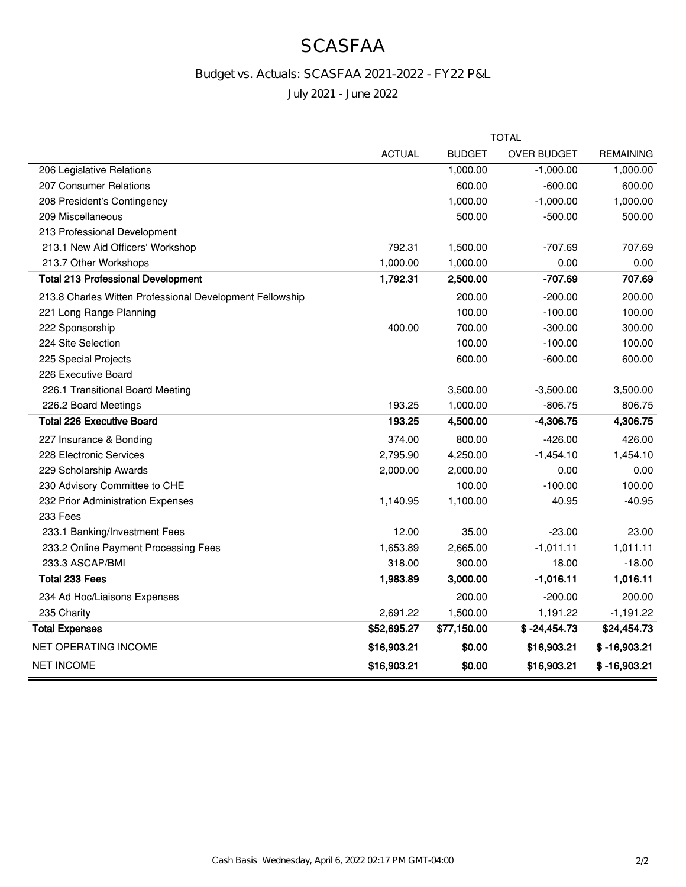## **SCASFAA**

### Budget vs. Actuals: SCASFAA 2021-2022 - FY22 P&L

July 2021 - June 2022

|                                                          | <b>TOTAL</b>  |               |                    |                  |
|----------------------------------------------------------|---------------|---------------|--------------------|------------------|
|                                                          | <b>ACTUAL</b> | <b>BUDGET</b> | <b>OVER BUDGET</b> | <b>REMAINING</b> |
| 206 Legislative Relations                                |               | 1,000.00      | $-1,000.00$        | 1,000.00         |
| 207 Consumer Relations                                   |               | 600.00        | $-600.00$          | 600.00           |
| 208 President's Contingency                              |               | 1,000.00      | $-1,000.00$        | 1,000.00         |
| 209 Miscellaneous                                        |               | 500.00        | $-500.00$          | 500.00           |
| 213 Professional Development                             |               |               |                    |                  |
| 213.1 New Aid Officers' Workshop                         | 792.31        | 1,500.00      | $-707.69$          | 707.69           |
| 213.7 Other Workshops                                    | 1,000.00      | 1,000.00      | 0.00               | 0.00             |
| <b>Total 213 Professional Development</b>                | 1,792.31      | 2,500.00      | -707.69            | 707.69           |
| 213.8 Charles Witten Professional Development Fellowship |               | 200.00        | $-200.00$          | 200.00           |
| 221 Long Range Planning                                  |               | 100.00        | $-100.00$          | 100.00           |
| 222 Sponsorship                                          | 400.00        | 700.00        | $-300.00$          | 300.00           |
| 224 Site Selection                                       |               | 100.00        | $-100.00$          | 100.00           |
| 225 Special Projects                                     |               | 600.00        | $-600.00$          | 600.00           |
| 226 Executive Board                                      |               |               |                    |                  |
| 226.1 Transitional Board Meeting                         |               | 3,500.00      | $-3,500.00$        | 3,500.00         |
| 226.2 Board Meetings                                     | 193.25        | 1,000.00      | $-806.75$          | 806.75           |
| <b>Total 226 Executive Board</b>                         | 193.25        | 4,500.00      | $-4,306.75$        | 4,306.75         |
| 227 Insurance & Bonding                                  | 374.00        | 800.00        | $-426.00$          | 426.00           |
| 228 Electronic Services                                  | 2,795.90      | 4,250.00      | $-1,454.10$        | 1,454.10         |
| 229 Scholarship Awards                                   | 2,000.00      | 2,000.00      | 0.00               | 0.00             |
| 230 Advisory Committee to CHE                            |               | 100.00        | $-100.00$          | 100.00           |
| 232 Prior Administration Expenses                        | 1,140.95      | 1,100.00      | 40.95              | $-40.95$         |
| 233 Fees                                                 |               |               |                    |                  |
| 233.1 Banking/Investment Fees                            | 12.00         | 35.00         | $-23.00$           | 23.00            |
| 233.2 Online Payment Processing Fees                     | 1,653.89      | 2,665.00      | $-1,011.11$        | 1,011.11         |
| 233.3 ASCAP/BMI                                          | 318.00        | 300.00        | 18.00              | $-18.00$         |
| <b>Total 233 Fees</b>                                    | 1,983.89      | 3,000.00      | $-1,016.11$        | 1,016.11         |
| 234 Ad Hoc/Liaisons Expenses                             |               | 200.00        | $-200.00$          | 200.00           |
| 235 Charity                                              | 2,691.22      | 1,500.00      | 1,191.22           | $-1,191.22$      |
| <b>Total Expenses</b>                                    | \$52,695.27   | \$77,150.00   | $$ -24,454.73$     | \$24,454.73      |
| NET OPERATING INCOME                                     | \$16,903.21   | \$0.00        | \$16,903.21        | $$ -16,903.21$   |
| <b>NET INCOME</b>                                        | \$16,903.21   | \$0.00        | \$16,903.21        | $$ -16,903.21$   |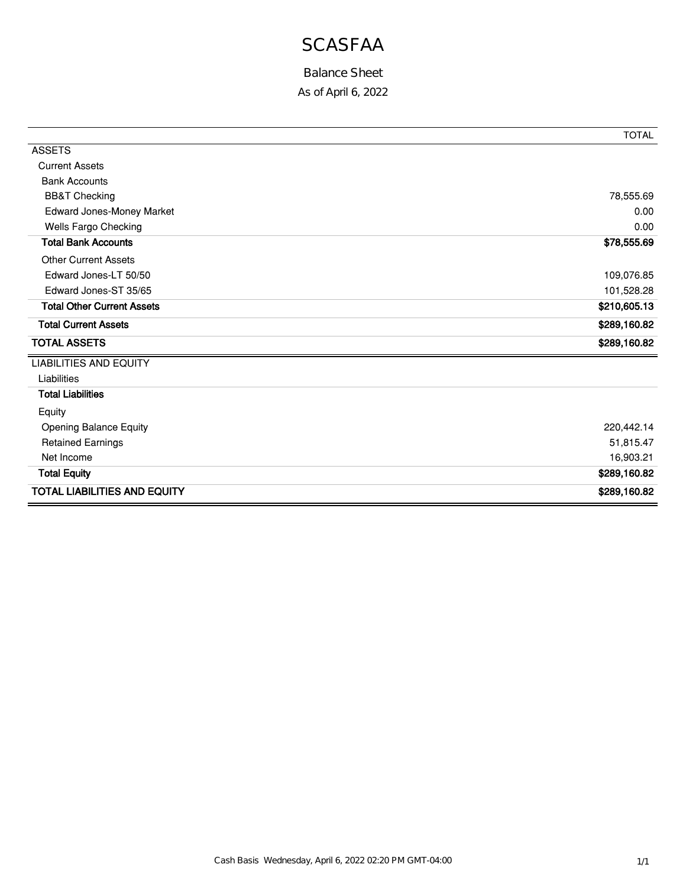# **SCASFAA**

### Balance Sheet

As of April 6, 2022

|                                     | <b>TOTAL</b> |
|-------------------------------------|--------------|
| <b>ASSETS</b>                       |              |
| <b>Current Assets</b>               |              |
| <b>Bank Accounts</b>                |              |
| <b>BB&amp;T Checking</b>            | 78,555.69    |
| Edward Jones-Money Market           | 0.00         |
| Wells Fargo Checking                | 0.00         |
| <b>Total Bank Accounts</b>          | \$78,555.69  |
| <b>Other Current Assets</b>         |              |
| Edward Jones-LT 50/50               | 109,076.85   |
| Edward Jones-ST 35/65               | 101,528.28   |
| <b>Total Other Current Assets</b>   | \$210,605.13 |
| <b>Total Current Assets</b>         | \$289,160.82 |
| <b>TOTAL ASSETS</b>                 | \$289,160.82 |
| <b>LIABILITIES AND EQUITY</b>       |              |
| Liabilities                         |              |
| <b>Total Liabilities</b>            |              |
| Equity                              |              |
| Opening Balance Equity              | 220,442.14   |
| <b>Retained Earnings</b>            | 51,815.47    |
| Net Income                          | 16,903.21    |
| <b>Total Equity</b>                 | \$289,160.82 |
| <b>TOTAL LIABILITIES AND EQUITY</b> | \$289,160.82 |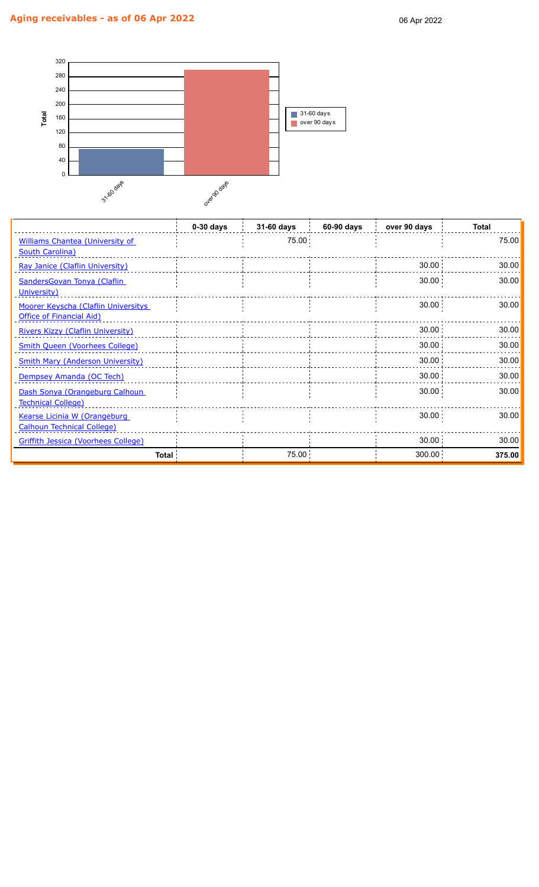

|                                            | $0-30$ days | 31-60 days | 60-90 days | over 90 days | <b>Total</b> |
|--------------------------------------------|-------------|------------|------------|--------------|--------------|
| <b>Williams Chantea (University of</b>     |             | 75.00      |            |              | 75.00        |
| <b>South Carolina)</b>                     |             |            |            |              |              |
| Ray Janice (Claflin University)            |             |            |            | 30.00        | 30.00        |
| SandersGovan Tonya (Claflin                |             |            |            | 30.00        | 30.00        |
| University)                                |             |            |            |              |              |
| Moorer Keyscha (Claflin Universitys        |             |            |            | 30.00        | 30.00        |
| <b>Office of Financial Aid)</b>            |             |            |            |              |              |
| Rivers Kizzy (Claflin University)          |             |            |            | 30.00        | 30.00        |
| <b>Smith Queen (Voorhees College)</b>      |             |            |            | 30.00        | 30.00        |
| <b>Smith Mary (Anderson University)</b>    |             |            |            | 30.00        | 30.00        |
| Dempsey Amanda (OC Tech)                   |             |            |            | 30.00        | 30.00        |
| Dash Sonya (Orangeburg Calhoun             |             |            |            | 30.00        | 30.00        |
| <b>Technical College)</b>                  |             |            |            |              |              |
| Kearse Licinia W (Orangeburg               |             |            |            | 30.00        | 30.00        |
| <b>Calhoun Technical College)</b>          |             |            |            |              |              |
| <b>Griffith Jessica (Voorhees College)</b> |             |            |            | 30.00        | 30.00        |
| Total                                      |             | 75.00      |            | 300.00       | 375.00       |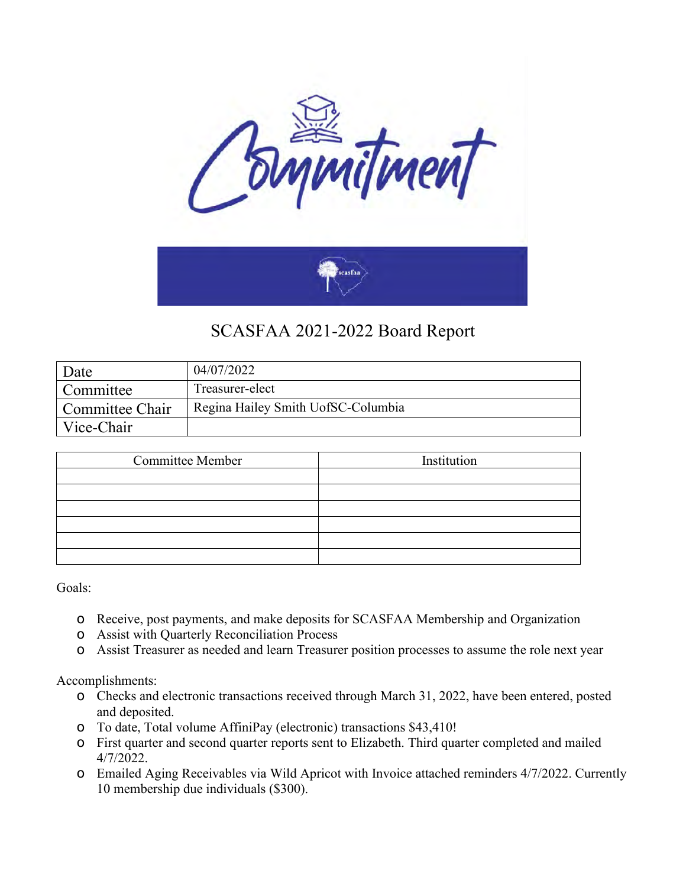

| Date            | 04/07/2022                         |
|-----------------|------------------------------------|
| Committee       | Treasurer-elect                    |
| Committee Chair | Regina Hailey Smith UofSC-Columbia |
| Vice-Chair      |                                    |

| <b>Committee Member</b> | Institution |
|-------------------------|-------------|
|                         |             |
|                         |             |
|                         |             |
|                         |             |
|                         |             |
|                         |             |

Goals:

- o Receive, post payments, and make deposits for SCASFAA Membership and Organization
- o Assist with Quarterly Reconciliation Process
- o Assist Treasurer as needed and learn Treasurer position processes to assume the role next year

Accomplishments:

- o Checks and electronic transactions received through March 31, 2022, have been entered, posted and deposited.
- o To date, Total volume AffiniPay (electronic) transactions \$43,410!
- o First quarter and second quarter reports sent to Elizabeth. Third quarter completed and mailed 4/7/2022.
- o Emailed Aging Receivables via Wild Apricot with Invoice attached reminders 4/7/2022. Currently 10 membership due individuals (\$300).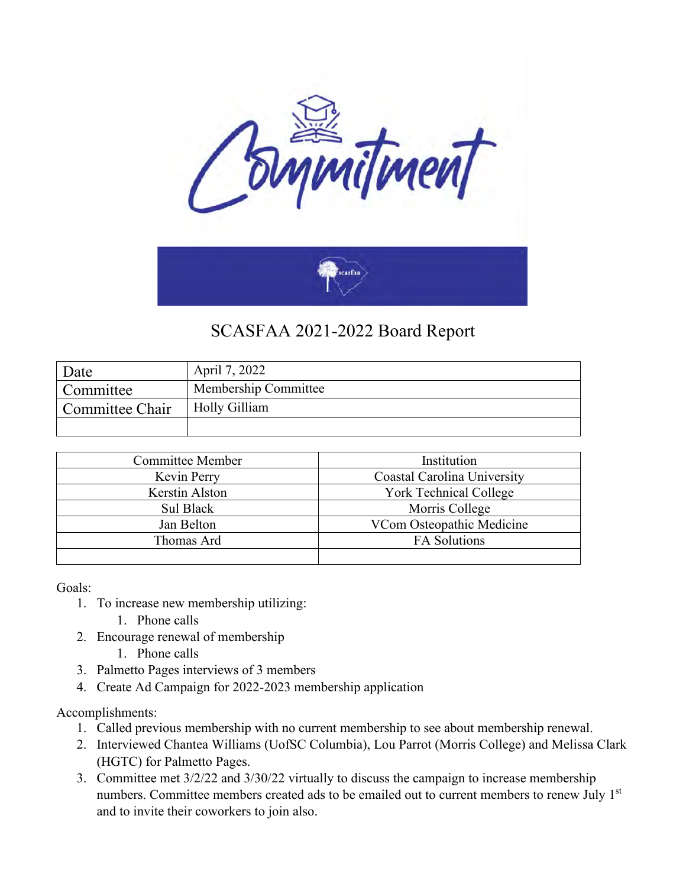

| Date            | April 7, 2022        |
|-----------------|----------------------|
| Committee       | Membership Committee |
| Committee Chair | Holly Gilliam        |
|                 |                      |

| <b>Committee Member</b> | Institution                 |
|-------------------------|-----------------------------|
| Kevin Perry             | Coastal Carolina University |
| Kerstin Alston          | York Technical College      |
| Sul Black               | Morris College              |
| Jan Belton              | VCom Osteopathic Medicine   |
| Thomas Ard              | <b>FA Solutions</b>         |
|                         |                             |

Goals:

- 1. To increase new membership utilizing:
	- 1. Phone calls
- 2. Encourage renewal of membership
	- 1. Phone calls
- 3. Palmetto Pages interviews of 3 members
- 4. Create Ad Campaign for 2022-2023 membership application

Accomplishments:

- 1. Called previous membership with no current membership to see about membership renewal.
- 2. Interviewed Chantea Williams (UofSC Columbia), Lou Parrot (Morris College) and Melissa Clark (HGTC) for Palmetto Pages.
- 3. Committee met 3/2/22 and 3/30/22 virtually to discuss the campaign to increase membership numbers. Committee members created ads to be emailed out to current members to renew July 1st and to invite their coworkers to join also.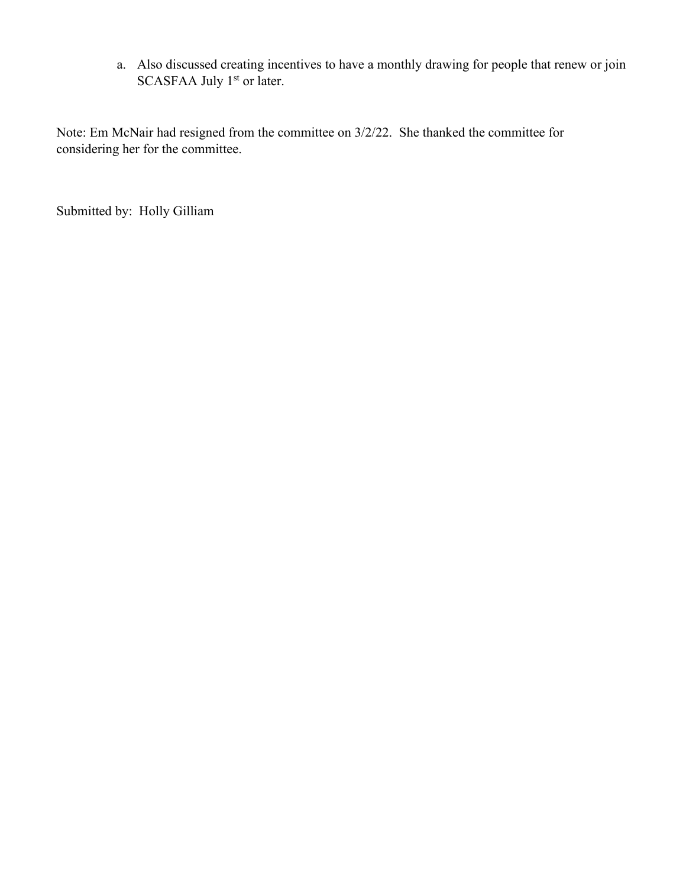a. Also discussed creating incentives to have a monthly drawing for people that renew or join SCASFAA July 1<sup>st</sup> or later.

Note: Em McNair had resigned from the committee on 3/2/22. She thanked the committee for considering her for the committee.

Submitted by: Holly Gilliam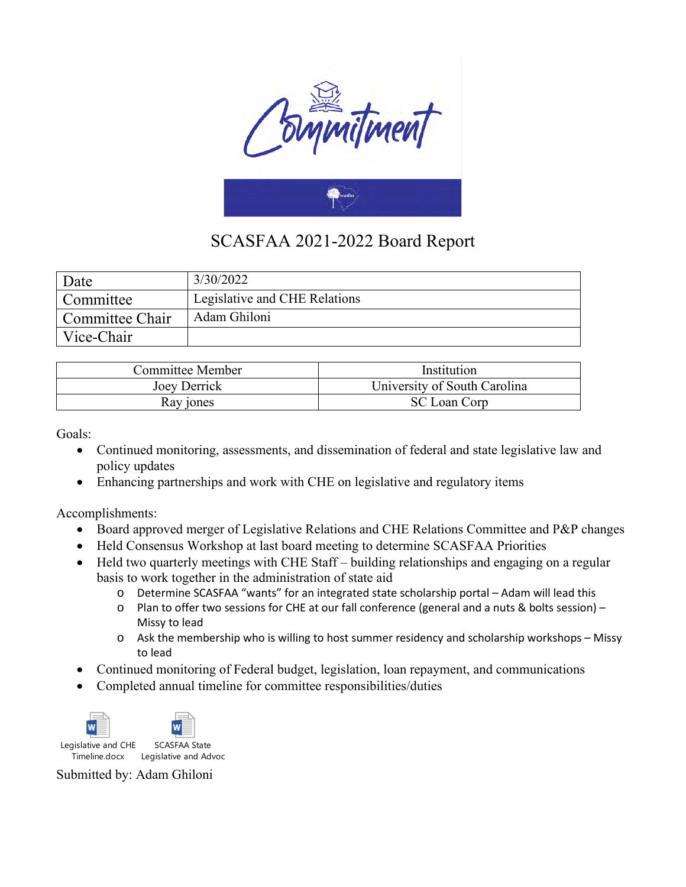

| Date            | 3/30/2022                     |
|-----------------|-------------------------------|
| Committee       | Legislative and CHE Relations |
| Committee Chair | Adam Ghiloni                  |
| Vice-Chair      |                               |

| Committee Member | Institution                  |
|------------------|------------------------------|
| Joey Derrick     | University of South Carolina |
| Ray jones        | SC Loan Corp                 |

Goals:

- Continued monitoring, assessments, and dissemination of federal and state legislative law and policy updates
- Enhancing partnerships and work with CHE on legislative and regulatory items

Accomplishments:

- Board approved merger of Legislative Relations and CHE Relations Committee and P&P changes
- Held Consensus Workshop at last board meeting to determine SCASFAA Priorities
- Held two quarterly meetings with CHE Staff building relationships and engaging on a regular basis to work together in the administration of state aid
	- o Determine SCASFAA "wants" for an integrated state scholarship portal Adam will lead this
	- o Plan to offer two sessions for CHE at our fall conference (general and a nuts & bolts session) Missy to lead
	- o Ask the membership who is willing to host summer residency and scholarship workshops Missy to lead
- Continued monitoring of Federal budget, legislation, loan repayment, and communications
- Completed annual timeline for committee responsibilities/duties



Timeline.docx Legislative and Advoca

Submitted by: Adam Ghiloni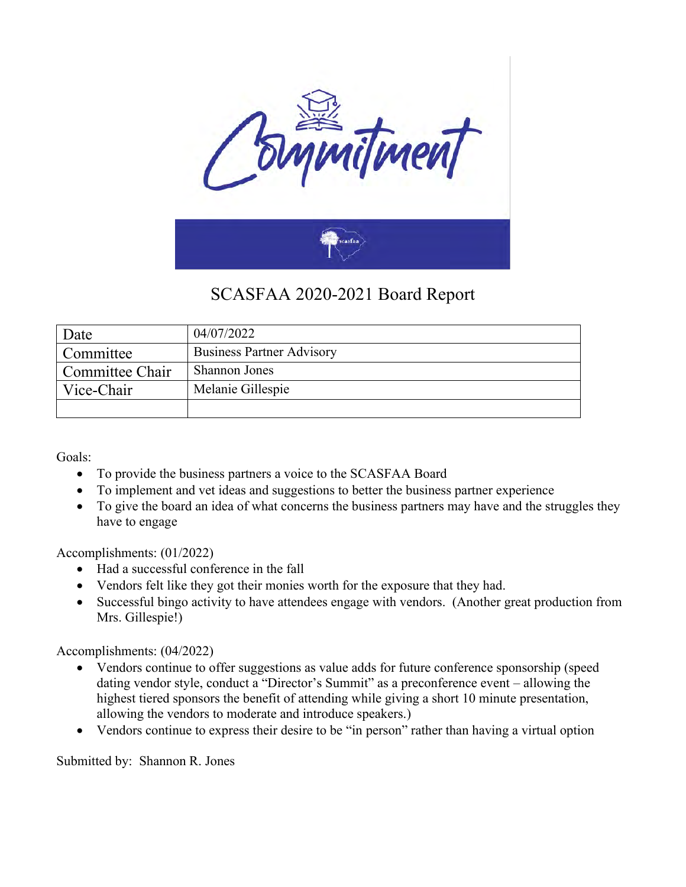

| Date            | 04/07/2022                       |
|-----------------|----------------------------------|
| Committee       | <b>Business Partner Advisory</b> |
| Committee Chair | <b>Shannon Jones</b>             |
| Vice-Chair      | Melanie Gillespie                |
|                 |                                  |

Goals:

- To provide the business partners a voice to the SCASFAA Board
- To implement and vet ideas and suggestions to better the business partner experience
- To give the board an idea of what concerns the business partners may have and the struggles they have to engage

Accomplishments: (01/2022)

- Had a successful conference in the fall
- Vendors felt like they got their monies worth for the exposure that they had.
- Successful bingo activity to have attendees engage with vendors. (Another great production from Mrs. Gillespie!)

Accomplishments: (04/2022)

- Vendors continue to offer suggestions as value adds for future conference sponsorship (speed dating vendor style, conduct a "Director's Summit" as a preconference event – allowing the highest tiered sponsors the benefit of attending while giving a short 10 minute presentation, allowing the vendors to moderate and introduce speakers.)
- Vendors continue to express their desire to be "in person" rather than having a virtual option

Submitted by: Shannon R. Jones